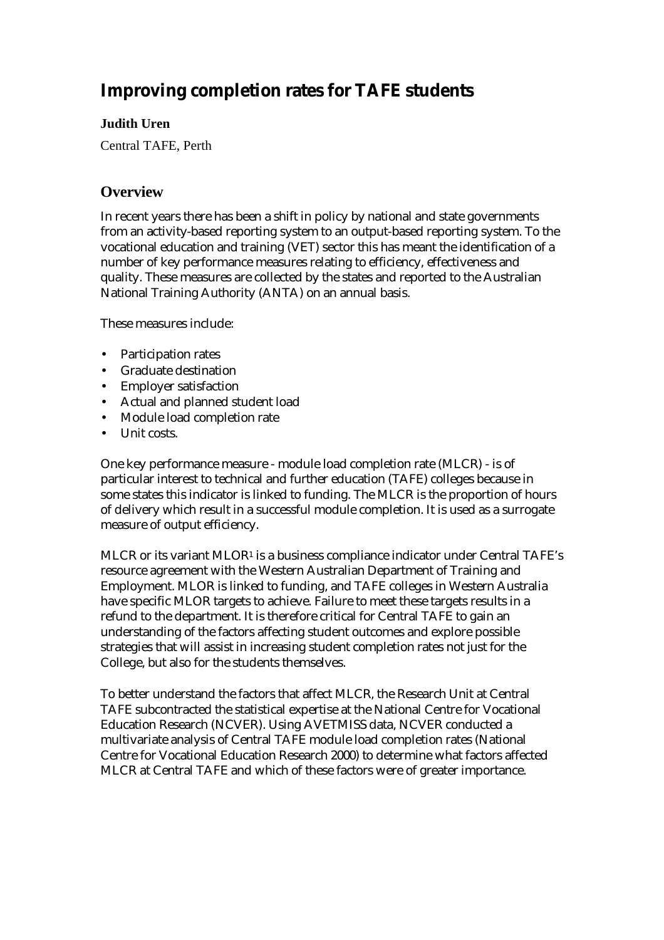# **Improving completion rates for TAFE students**

# **Judith Uren**

Central TAFE, Perth

# **Overview**

In recent years there has been a shift in policy by national and state governments from an activity-based reporting system to an output-based reporting system. To the vocational education and training (VET) sector this has meant the identification of a number of key performance measures relating to efficiency, effectiveness and quality. These measures are collected by the states and reported to the Australian National Training Authority (ANTA) on an annual basis.

These measures include:

- Participation rates
- Graduate destination
- Employer satisfaction
- Actual and planned student load
- Module load completion rate
- Unit costs.

One key performance measure - module load completion rate (MLCR) - is of particular interest to technical and further education (TAFE) colleges because in some states this indicator is linked to funding. The MLCR is the proportion of hours of delivery which result in a successful module completion. It is used as a surrogate measure of output efficiency.

MLCR or its variant MLOR<sup>1</sup> is a business compliance indicator under Central TAFE's resource agreement with the Western Australian Department of Training and Employment. MLOR is linked to funding, and TAFE colleges in Western Australia have specific MLOR targets to achieve. Failure to meet these targets results in a refund to the department. It is therefore critical for Central TAFE to gain an understanding of the factors affecting student outcomes and explore possible strategies that will assist in increasing student completion rates not just for the College, but also for the students themselves.

To better understand the factors that affect MLCR, the Research Unit at Central TAFE subcontracted the statistical expertise at the National Centre for Vocational Education Research (NCVER). Using AVETMISS data, NCVER conducted a multivariate analysis of Central TAFE module load completion rates (National Centre for Vocational Education Research 2000) to determine what factors affected MLCR at Central TAFE and which of these factors were of greater importance.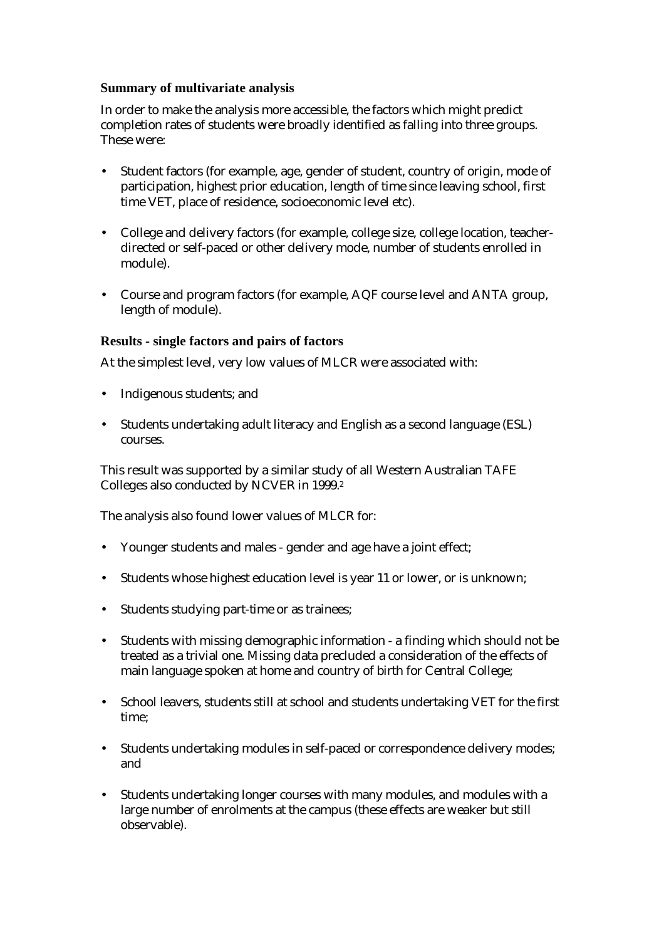### **Summary of multivariate analysis**

In order to make the analysis more accessible, the factors which might predict completion rates of students were broadly identified as falling into three groups. These were:

- Student factors (for example, age, gender of student, country of origin, mode of participation, highest prior education, length of time since leaving school, first time VET, place of residence, socioeconomic level etc).
- College and delivery factors (for example, college size, college location, teacherdirected or self-paced or other delivery mode, number of students enrolled in module).
- Course and program factors (for example, AQF course level and ANTA group, length of module).

### **Results - single factors and pairs of factors**

At the simplest level, very low values of MLCR were associated with:

- Indigenous students; and
- Students undertaking adult literacy and English as a second language (ESL) courses.

This result was supported by a similar study of all Western Australian TAFE Colleges also conducted by NCVER in 1999.2

The analysis also found lower values of MLCR for:

- Younger students and males gender and age have a joint effect;
- Students whose highest education level is year 11 or lower, or is unknown;
- Students studying part-time or as trainees;
- Students with missing demographic information a finding which should not be treated as a trivial one. Missing data precluded a consideration of the effects of main language spoken at home and country of birth for Central College;
- School leavers, students still at school and students undertaking VET for the first time;
- Students undertaking modules in self-paced or correspondence delivery modes; and
- Students undertaking longer courses with many modules, and modules with a large number of enrolments at the campus (these effects are weaker but still observable).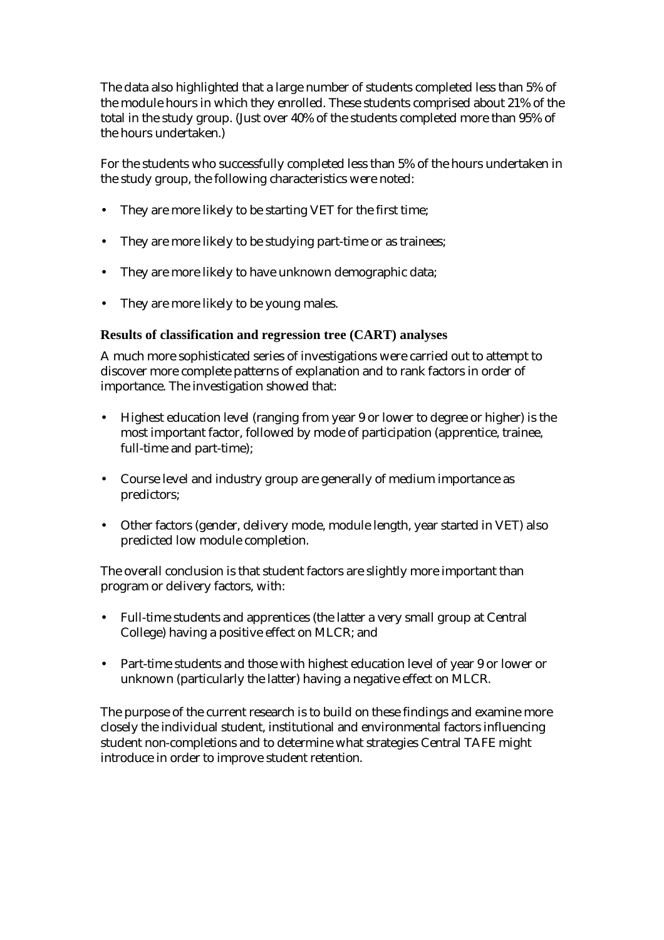The data also highlighted that a large number of students completed less than 5% of the module hours in which they enrolled. These students comprised about 21% of the total in the study group. (Just over 40% of the students completed more than 95% of the hours undertaken.)

For the students who successfully completed less than 5% of the hours undertaken in the study group, the following characteristics were noted:

- They are more likely to be starting VET for the first time;
- They are more likely to be studying part-time or as trainees;
- They are more likely to have unknown demographic data;
- They are more likely to be young males.

## **Results of classification and regression tree (CART) analyses**

A much more sophisticated series of investigations were carried out to attempt to discover more complete patterns of explanation and to rank factors in order of importance. The investigation showed that:

- Highest education level (ranging from year 9 or lower to degree or higher) is the most important factor, followed by mode of participation (apprentice, trainee, full-time and part-time);
- Course level and industry group are generally of medium importance as predictors;
- Other factors (gender, delivery mode, module length, year started in VET) also predicted low module completion.

The overall conclusion is that student factors are slightly more important than program or delivery factors, with:

- Full-time students and apprentices (the latter a very small group at Central College) having a positive effect on MLCR; and
- Part-time students and those with highest education level of year 9 or lower or unknown (particularly the latter) having a negative effect on MLCR.

The purpose of the current research is to build on these findings and examine more closely the individual student, institutional and environmental factors influencing student non-completions and to determine what strategies Central TAFE might introduce in order to improve student retention.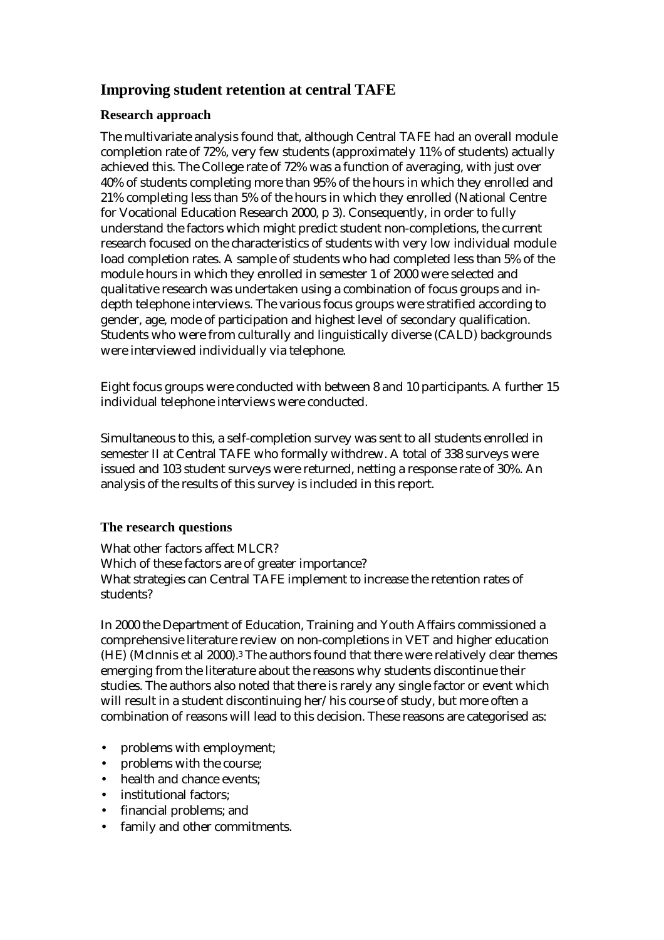# **Improving student retention at central TAFE**

## **Research approach**

The multivariate analysis found that, although Central TAFE had an overall module completion rate of 72%, very few students (approximately 11% of students) actually achieved this. The College rate of 72% was a function of averaging, with just over 40% of students completing more than 95% of the hours in which they enrolled and 21% completing less than 5% of the hours in which they enrolled (National Centre for Vocational Education Research 2000, p 3). Consequently, in order to fully understand the factors which might predict student non-completions, the current research focused on the characteristics of students with very low individual module load completion rates. A sample of students who had completed less than 5% of the module hours in which they enrolled in semester 1 of 2000 were selected and qualitative research was undertaken using a combination of focus groups and indepth telephone interviews. The various focus groups were stratified according to gender, age, mode of participation and highest level of secondary qualification. Students who were from culturally and linguistically diverse (CALD) backgrounds were interviewed individually via telephone.

Eight focus groups were conducted with between 8 and 10 participants. A further 15 individual telephone interviews were conducted.

Simultaneous to this, a self-completion survey was sent to all students enrolled in semester II at Central TAFE who formally withdrew. A total of 338 surveys were issued and 103 student surveys were returned, netting a response rate of 30%. An analysis of the results of this survey is included in this report.

## **The research questions**

What other factors affect MLCR? Which of these factors are of greater importance? What strategies can Central TAFE implement to increase the retention rates of students?

In 2000 the Department of Education, Training and Youth Affairs commissioned a comprehensive literature review on non-completions in VET and higher education (HE) (McInnis et al 2000).3 The authors found that there were relatively clear themes emerging from the literature about the reasons why students discontinue their studies. The authors also noted that there is rarely any single factor or event which will result in a student discontinuing her/his course of study, but more often a combination of reasons will lead to this decision. These reasons are categorised as:

- problems with employment;
- problems with the course:
- health and chance events:
- institutional factors;
- financial problems; and
- family and other commitments.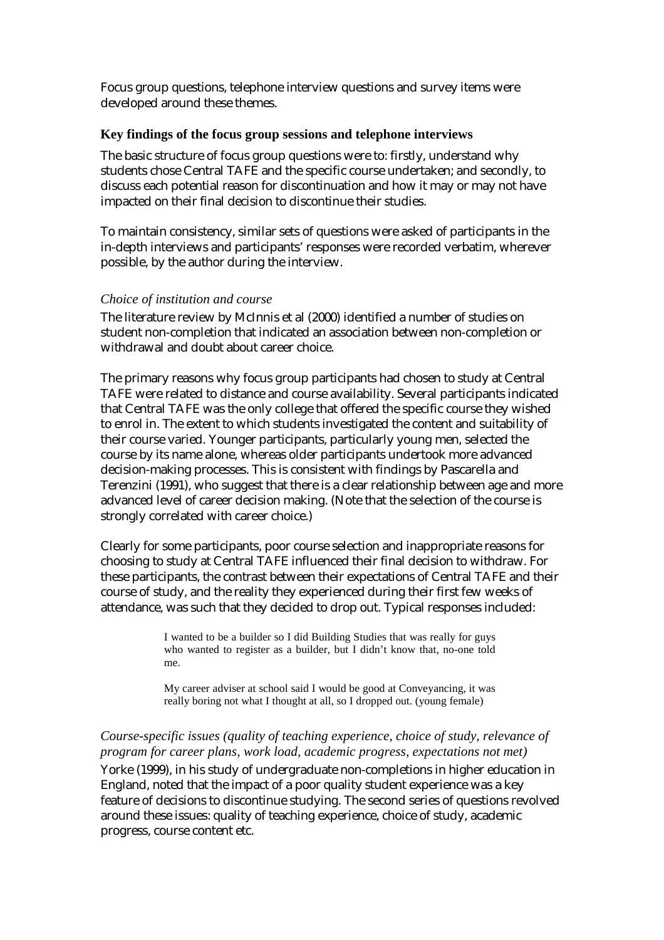Focus group questions, telephone interview questions and survey items were developed around these themes.

#### **Key findings of the focus group sessions and telephone interviews**

The basic structure of focus group questions were to: firstly, understand why students chose Central TAFE and the specific course undertaken; and secondly, to discuss each potential reason for discontinuation and how it may or may not have impacted on their final decision to discontinue their studies.

To maintain consistency, similar sets of questions were asked of participants in the in-depth interviews and participants' responses were recorded verbatim, wherever possible, by the author during the interview.

#### *Choice of institution and course*

The literature review by McInnis et al (2000) identified a number of studies on student non-completion that indicated an association between non-completion or withdrawal and doubt about career choice.

The primary reasons why focus group participants had chosen to study at Central TAFE were related to distance and course availability. Several participants indicated that Central TAFE was the only college that offered the specific course they wished to enrol in. The extent to which students investigated the content and suitability of their course varied. Younger participants, particularly young men, selected the course by its name alone, whereas older participants undertook more advanced decision-making processes. This is consistent with findings by Pascarella and Terenzini (1991), who suggest that there is a clear relationship between age and more advanced level of career decision making. (Note that the selection of the course is strongly correlated with career choice.)

Clearly for some participants, poor course selection and inappropriate reasons for choosing to study at Central TAFE influenced their final decision to withdraw. For these participants, the contrast between their expectations of Central TAFE and their course of study, and the reality they experienced during their first few weeks of attendance, was such that they decided to drop out. Typical responses included:

> I wanted to be a builder so I did Building Studies that was really for guys who wanted to register as a builder, but I didn't know that, no-one told me.

> My career adviser at school said I would be good at Conveyancing, it was really boring not what I thought at all, so I dropped out. (young female)

# *Course-specific issues (quality of teaching experience, choice of study, relevance of program for career plans, work load, academic progress, expectations not met)*

Yorke (1999), in his study of undergraduate non-completions in higher education in England, noted that the impact of a poor quality student experience was a key feature of decisions to discontinue studying. The second series of questions revolved around these issues: quality of teaching experience, choice of study, academic progress, course content etc.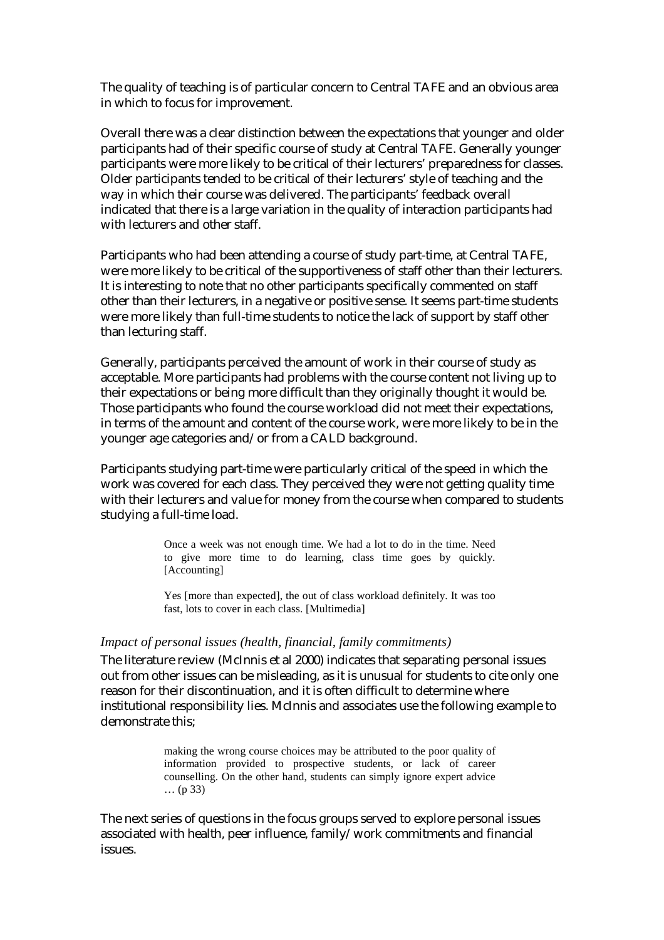The quality of teaching is of particular concern to Central TAFE and an obvious area in which to focus for improvement.

Overall there was a clear distinction between the expectations that younger and older participants had of their specific course of study at Central TAFE. Generally younger participants were more likely to be critical of their lecturers' preparedness for classes. Older participants tended to be critical of their lecturers' style of teaching and the way in which their course was delivered. The participants' feedback overall indicated that there is a large variation in the quality of interaction participants had with lecturers and other staff.

Participants who had been attending a course of study part-time, at Central TAFE, were more likely to be critical of the supportiveness of staff other than their lecturers. It is interesting to note that no other participants specifically commented on staff other than their lecturers, in a negative or positive sense. It seems part-time students were more likely than full-time students to notice the lack of support by staff other than lecturing staff.

Generally, participants perceived the amount of work in their course of study as acceptable. More participants had problems with the course content not living up to their expectations or being more difficult than they originally thought it would be. Those participants who found the course workload did not meet their expectations, in terms of the amount and content of the course work, were more likely to be in the younger age categories and/or from a CALD background.

Participants studying part-time were particularly critical of the speed in which the work was covered for each class. They perceived they were not getting quality time with their lecturers and value for money from the course when compared to students studying a full-time load.

> Once a week was not enough time. We had a lot to do in the time. Need to give more time to do learning, class time goes by quickly. [Accounting]

> Yes [more than expected], the out of class workload definitely. It was too fast, lots to cover in each class. [Multimedia]

#### *Impact of personal issues (health, financial, family commitments)*

The literature review (McInnis et al 2000) indicates that separating personal issues out from other issues can be misleading, as it is unusual for students to cite only one reason for their discontinuation, and it is often difficult to determine where institutional responsibility lies. McInnis and associates use the following example to demonstrate this;

> making the wrong course choices may be attributed to the poor quality of information provided to prospective students, or lack of career counselling. On the other hand, students can simply ignore expert advice … (p 33)

The next series of questions in the focus groups served to explore personal issues associated with health, peer influence, family/work commitments and financial issues.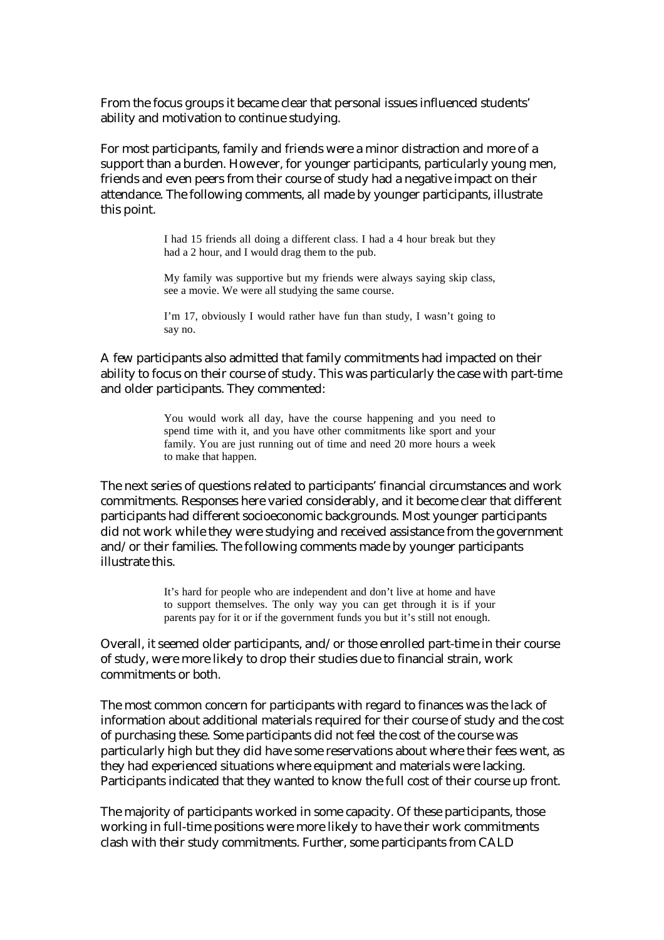From the focus groups it became clear that personal issues influenced students' ability and motivation to continue studying.

For most participants, family and friends were a minor distraction and more of a support than a burden. However, for younger participants, particularly young men, friends and even peers from their course of study had a negative impact on their attendance. The following comments, all made by younger participants, illustrate this point.

> I had 15 friends all doing a different class. I had a 4 hour break but they had a 2 hour, and I would drag them to the pub.

> My family was supportive but my friends were always saying skip class, see a movie. We were all studying the same course.

> I'm 17, obviously I would rather have fun than study, I wasn't going to say no.

A few participants also admitted that family commitments had impacted on their ability to focus on their course of study. This was particularly the case with part-time and older participants. They commented:

> You would work all day, have the course happening and you need to spend time with it, and you have other commitments like sport and your family. You are just running out of time and need 20 more hours a week to make that happen.

The next series of questions related to participants' financial circumstances and work commitments. Responses here varied considerably, and it become clear that different participants had different socioeconomic backgrounds. Most younger participants did not work while they were studying and received assistance from the government and/or their families. The following comments made by younger participants illustrate this.

> It's hard for people who are independent and don't live at home and have to support themselves. The only way you can get through it is if your parents pay for it or if the government funds you but it's still not enough.

Overall, it seemed older participants, and/or those enrolled part-time in their course of study, were more likely to drop their studies due to financial strain, work commitments or both.

The most common concern for participants with regard to finances was the lack of information about additional materials required for their course of study and the cost of purchasing these. Some participants did not feel the cost of the course was particularly high but they did have some reservations about where their fees went, as they had experienced situations where equipment and materials were lacking. Participants indicated that they wanted to know the full cost of their course up front.

The majority of participants worked in some capacity. Of these participants, those working in full-time positions were more likely to have their work commitments clash with their study commitments. Further, some participants from CALD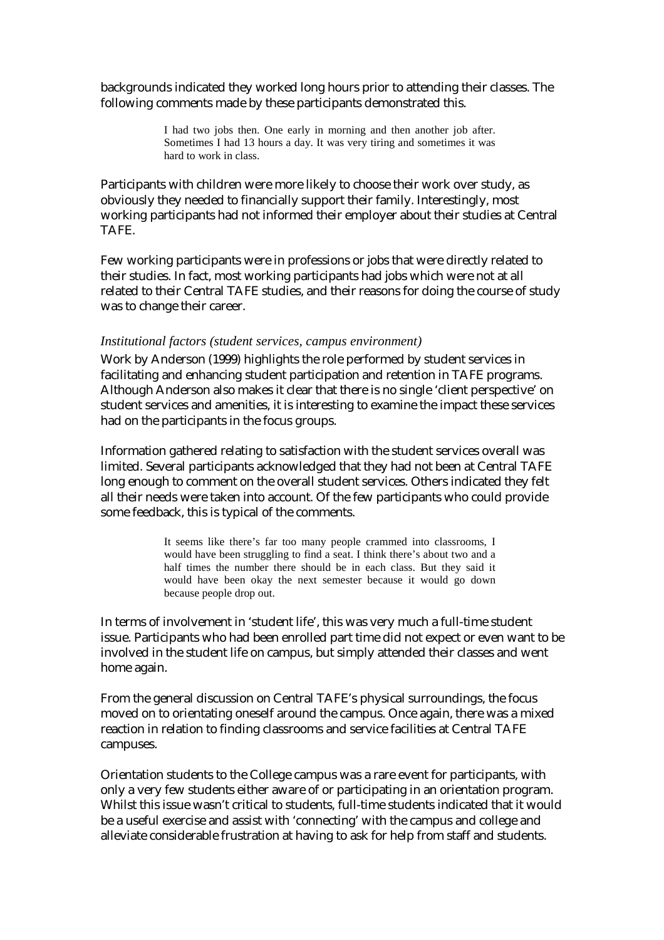backgrounds indicated they worked long hours prior to attending their classes. The following comments made by these participants demonstrated this.

> I had two jobs then. One early in morning and then another job after. Sometimes I had 13 hours a day. It was very tiring and sometimes it was hard to work in class.

Participants with children were more likely to choose their work over study, as obviously they needed to financially support their family. Interestingly, most working participants had not informed their employer about their studies at Central TAFE.

Few working participants were in professions or jobs that were directly related to their studies. In fact, most working participants had jobs which were not at all related to their Central TAFE studies, and their reasons for doing the course of study was to change their career.

#### *Institutional factors (student services, campus environment)*

Work by Anderson (1999) highlights the role performed by student services in facilitating and enhancing student participation and retention in TAFE programs. Although Anderson also makes it clear that there is no single 'client perspective' on student services and amenities, it is interesting to examine the impact these services had on the participants in the focus groups.

Information gathered relating to satisfaction with the student services overall was limited. Several participants acknowledged that they had not been at Central TAFE long enough to comment on the overall student services. Others indicated they felt all their needs were taken into account. Of the few participants who could provide some feedback, this is typical of the comments.

> It seems like there's far too many people crammed into classrooms, I would have been struggling to find a seat. I think there's about two and a half times the number there should be in each class. But they said it would have been okay the next semester because it would go down because people drop out.

In terms of involvement in 'student life', this was very much a full-time student issue. Participants who had been enrolled part time did not expect or even want to be involved in the student life on campus, but simply attended their classes and went home again.

From the general discussion on Central TAFE's physical surroundings, the focus moved on to orientating oneself around the campus. Once again, there was a mixed reaction in relation to finding classrooms and service facilities at Central TAFE campuses.

Orientation students to the College campus was a rare event for participants, with only a very few students either aware of or participating in an orientation program. Whilst this issue wasn't critical to students, full-time students indicated that it would be a useful exercise and assist with 'connecting' with the campus and college and alleviate considerable frustration at having to ask for help from staff and students.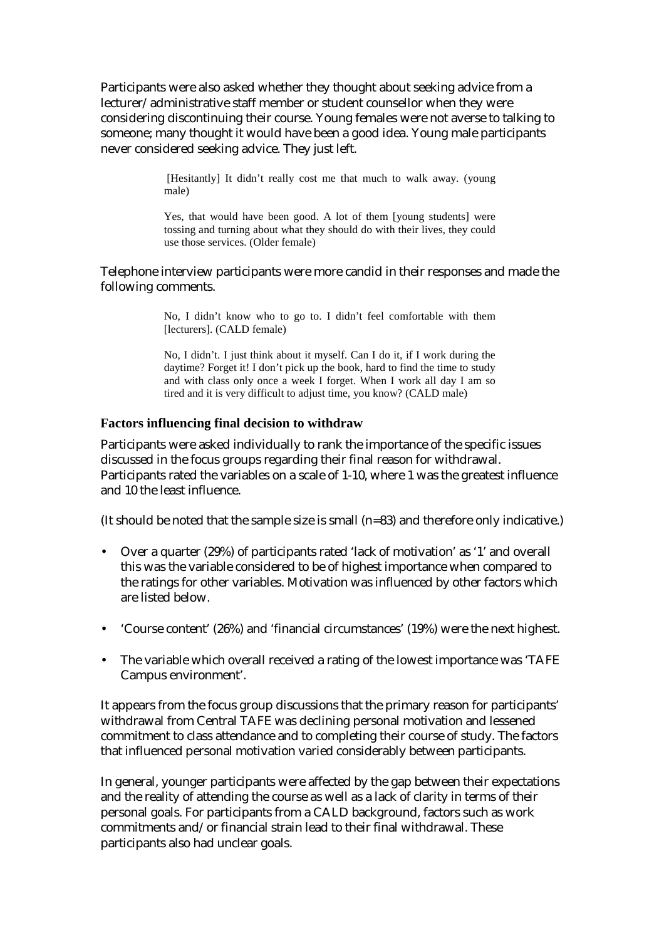Participants were also asked whether they thought about seeking advice from a lecturer/administrative staff member or student counsellor when they were considering discontinuing their course. Young females were not averse to talking to someone; many thought it would have been a good idea. Young male participants never considered seeking advice. They just left.

> [Hesitantly] It didn't really cost me that much to walk away. (young male)

> Yes, that would have been good. A lot of them [young students] were tossing and turning about what they should do with their lives, they could use those services. (Older female)

#### Telephone interview participants were more candid in their responses and made the following comments.

No, I didn't know who to go to. I didn't feel comfortable with them [lecturers]. (CALD female)

No, I didn't. I just think about it myself. Can I do it, if I work during the daytime? Forget it! I don't pick up the book, hard to find the time to study and with class only once a week I forget. When I work all day I am so tired and it is very difficult to adjust time, you know? (CALD male)

#### **Factors influencing final decision to withdraw**

Participants were asked individually to rank the importance of the specific issues discussed in the focus groups regarding their final reason for withdrawal. Participants rated the variables on a scale of 1-10, where 1 was the greatest influence and 10 the least influence.

(It should be noted that the sample size is small (n=83) and therefore only indicative.)

- Over a quarter (29%) of participants rated 'lack of motivation' as '1' and overall this was the variable considered to be of highest importance when compared to the ratings for other variables. Motivation was influenced by other factors which are listed below.
- 'Course content' (26%) and 'financial circumstances' (19%) were the next highest.
- The variable which overall received a rating of the lowest importance was 'TAFE Campus environment'.

It appears from the focus group discussions that the primary reason for participants' withdrawal from Central TAFE was declining personal motivation and lessened commitment to class attendance and to completing their course of study. The factors that influenced personal motivation varied considerably between participants.

In general, younger participants were affected by the gap between their expectations and the reality of attending the course as well as a lack of clarity in terms of their personal goals. For participants from a CALD background, factors such as work commitments and/or financial strain lead to their final withdrawal. These participants also had unclear goals.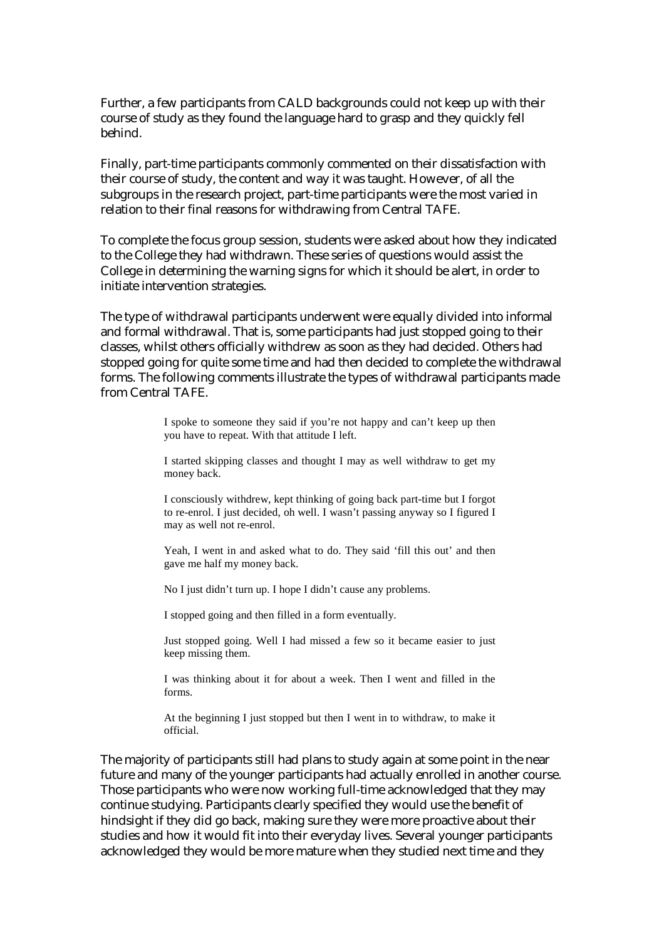Further, a few participants from CALD backgrounds could not keep up with their course of study as they found the language hard to grasp and they quickly fell behind.

Finally, part-time participants commonly commented on their dissatisfaction with their course of study, the content and way it was taught. However, of all the subgroups in the research project, part-time participants were the most varied in relation to their final reasons for withdrawing from Central TAFE.

To complete the focus group session, students were asked about how they indicated to the College they had withdrawn. These series of questions would assist the College in determining the warning signs for which it should be alert, in order to initiate intervention strategies.

The type of withdrawal participants underwent were equally divided into informal and formal withdrawal. That is, some participants had just stopped going to their classes, whilst others officially withdrew as soon as they had decided. Others had stopped going for quite some time and had then decided to complete the withdrawal forms. The following comments illustrate the types of withdrawal participants made from Central TAFE.

> I spoke to someone they said if you're not happy and can't keep up then you have to repeat. With that attitude I left.

> I started skipping classes and thought I may as well withdraw to get my money back.

> I consciously withdrew, kept thinking of going back part-time but I forgot to re-enrol. I just decided, oh well. I wasn't passing anyway so I figured I may as well not re-enrol.

> Yeah, I went in and asked what to do. They said 'fill this out' and then gave me half my money back.

No I just didn't turn up. I hope I didn't cause any problems.

I stopped going and then filled in a form eventually.

Just stopped going. Well I had missed a few so it became easier to just keep missing them.

I was thinking about it for about a week. Then I went and filled in the forms.

At the beginning I just stopped but then I went in to withdraw, to make it official.

The majority of participants still had plans to study again at some point in the near future and many of the younger participants had actually enrolled in another course. Those participants who were now working full-time acknowledged that they may continue studying. Participants clearly specified they would use the benefit of hindsight if they did go back, making sure they were more proactive about their studies and how it would fit into their everyday lives. Several younger participants acknowledged they would be more mature when they studied next time and they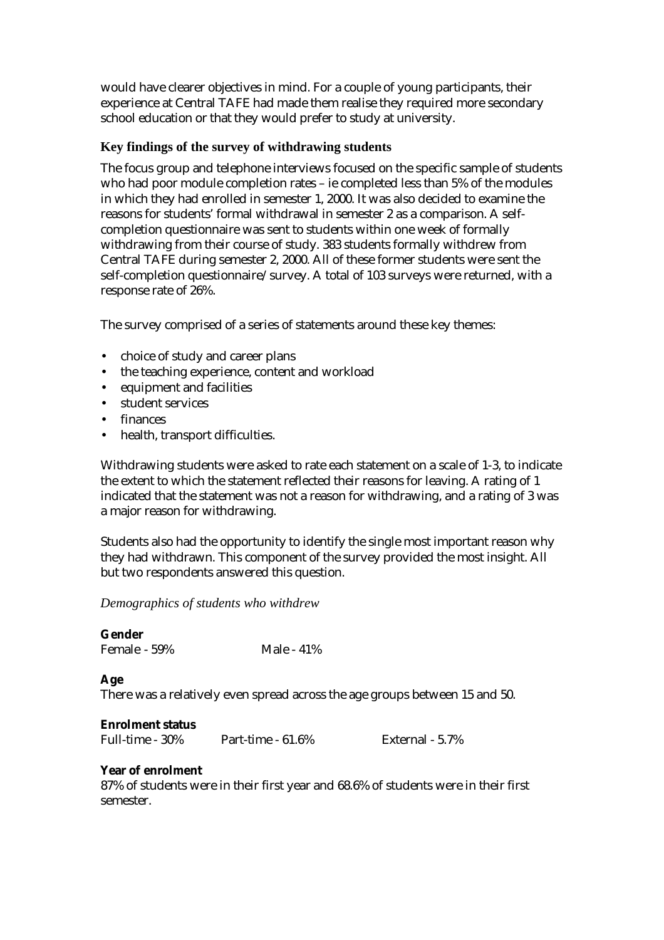would have clearer objectives in mind. For a couple of young participants, their experience at Central TAFE had made them realise they required more secondary school education or that they would prefer to study at university.

## **Key findings of the survey of withdrawing students**

The focus group and telephone interviews focused on the specific sample of students who had poor module completion rates – ie completed less than 5% of the modules in which they had enrolled in semester 1, 2000. It was also decided to examine the reasons for students' formal withdrawal in semester 2 as a comparison. A selfcompletion questionnaire was sent to students within one week of formally withdrawing from their course of study. 383 students formally withdrew from Central TAFE during semester 2, 2000. All of these former students were sent the self-completion questionnaire/survey. A total of 103 surveys were returned, with a response rate of 26%.

The survey comprised of a series of statements around these key themes:

- choice of study and career plans
- the teaching experience, content and workload
- equipment and facilities
- student services
- finances
- health, transport difficulties.

Withdrawing students were asked to rate each statement on a scale of 1-3, to indicate the extent to which the statement reflected their reasons for leaving. A rating of 1 indicated that the statement was not a reason for withdrawing, and a rating of 3 was a major reason for withdrawing.

Students also had the opportunity to identify the single most important reason why they had withdrawn. This component of the survey provided the most insight. All but two respondents answered this question.

#### *Demographics of students who withdrew*

## **Gender**

Female - 59% Male - 41%

## **Age**

There was a relatively even spread across the age groups between 15 and 50.

#### **Enrolment status**

Full-time - 30% Part-time - 61.6% External - 5.7%

## **Year of enrolment**

87% of students were in their first year and 68.6% of students were in their first semester.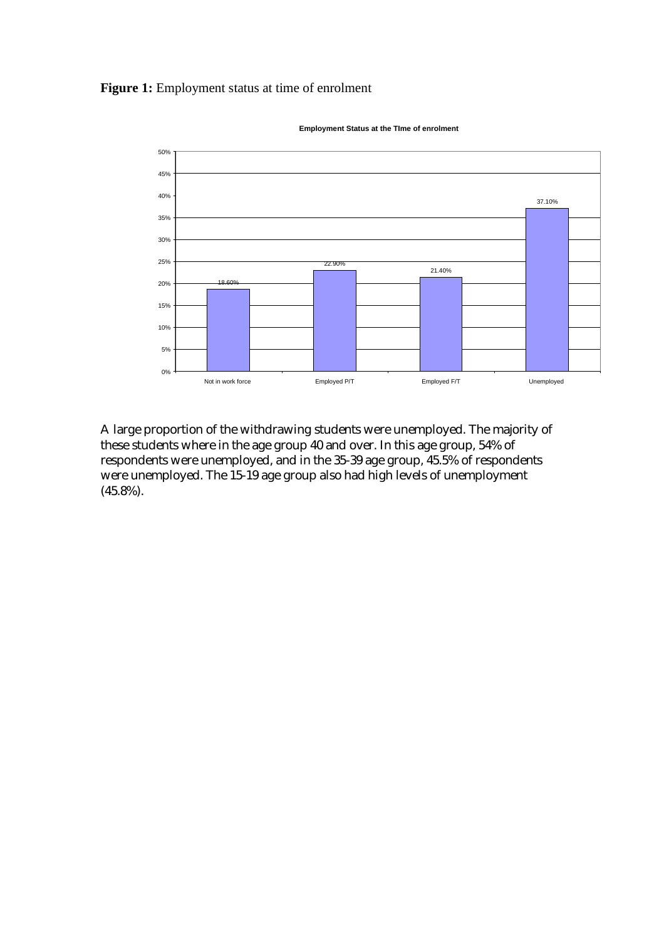#### **Figure 1:** Employment status at time of enrolment



**Employment Status at the TIme of enrolment**

A large proportion of the withdrawing students were unemployed. The majority of these students where in the age group 40 and over. In this age group, 54% of respondents were unemployed, and in the 35-39 age group, 45.5% of respondents were unemployed. The 15-19 age group also had high levels of unemployment (45.8%).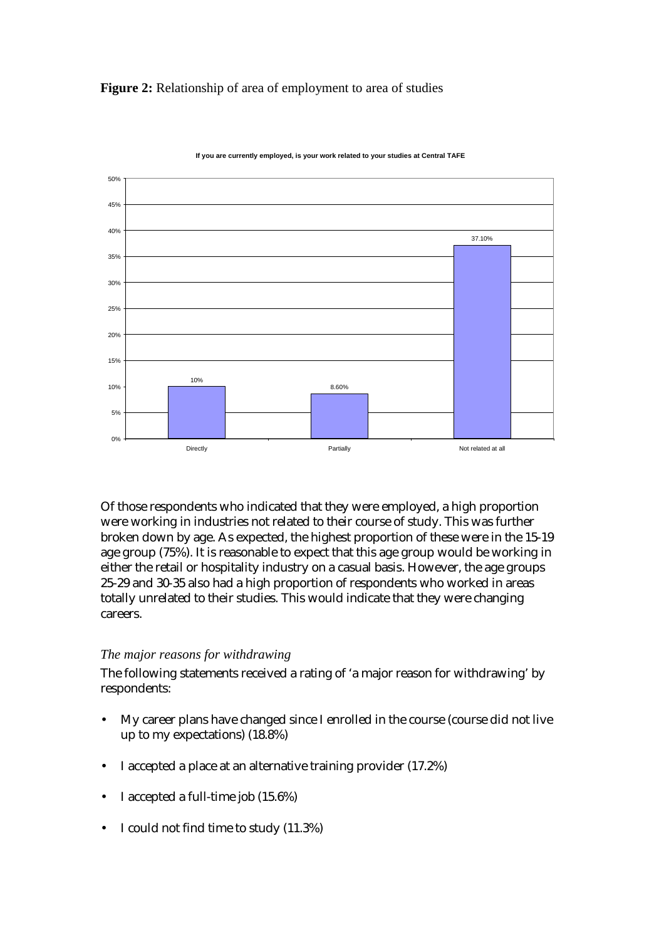**Figure 2:** Relationship of area of employment to area of studies



**If you are currently employed, is your work related to your studies at Central TAFE**

Of those respondents who indicated that they were employed, a high proportion were working in industries not related to their course of study. This was further broken down by age. As expected, the highest proportion of these were in the 15-19 age group (75%). It is reasonable to expect that this age group would be working in either the retail or hospitality industry on a casual basis. However, the age groups 25-29 and 30-35 also had a high proportion of respondents who worked in areas totally unrelated to their studies. This would indicate that they were changing careers.

## *The major reasons for withdrawing*

The following statements received a rating of 'a major reason for withdrawing' by respondents:

- My career plans have changed since I enrolled in the course (course did not live up to my expectations) (18.8%)
- I accepted a place at an alternative training provider (17.2%)
- I accepted a full-time job (15.6%)
- I could not find time to study (11.3%)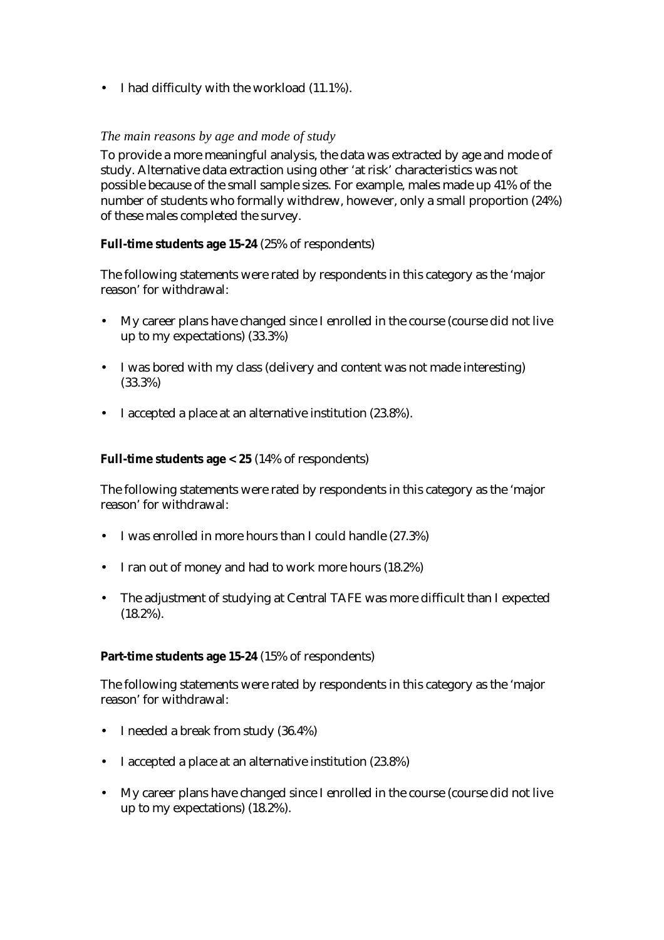• I had difficulty with the workload (11.1%).

## *The main reasons by age and mode of study*

To provide a more meaningful analysis, the data was extracted by age and mode of study. Alternative data extraction using other 'at risk' characteristics was not possible because of the small sample sizes. For example, males made up 41% of the number of students who formally withdrew, however, only a small proportion (24%) of these males completed the survey.

### **Full-time students age 15-24** (25% of respondents)

The following statements were rated by respondents in this category as the 'major reason' for withdrawal:

- My career plans have changed since I enrolled in the course (course did not live up to my expectations) (33.3%)
- I was bored with my class (delivery and content was not made interesting) (33.3%)
- I accepted a place at an alternative institution (23.8%).

### **Full-time students age < 25** (14% of respondents)

The following statements were rated by respondents in this category as the 'major reason' for withdrawal:

- I was enrolled in more hours than I could handle (27.3%)
- I ran out of money and had to work more hours (18.2%)
- The adjustment of studying at Central TAFE was more difficult than I expected (18.2%).

#### **Part-time students age 15-24** (15% of respondents)

The following statements were rated by respondents in this category as the 'major reason' for withdrawal:

- I needed a break from study (36.4%)
- I accepted a place at an alternative institution (23.8%)
- My career plans have changed since I enrolled in the course (course did not live up to my expectations) (18.2%).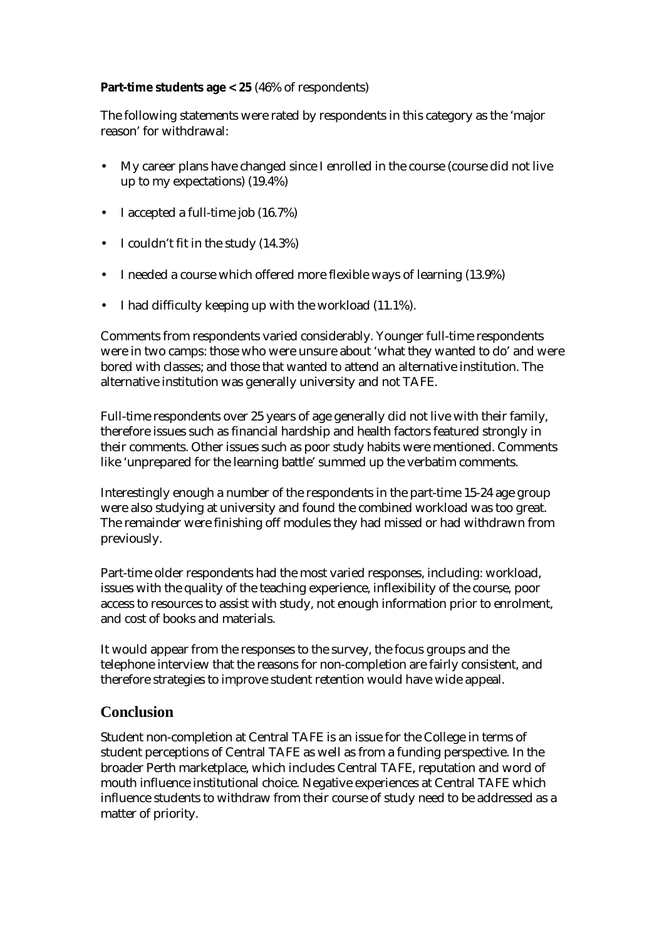## **Part-time students age < 25** (46% of respondents)

The following statements were rated by respondents in this category as the 'major reason' for withdrawal:

- My career plans have changed since I enrolled in the course (course did not live up to my expectations) (19.4%)
- I accepted a full-time job (16.7%)
- I couldn't fit in the study (14.3%)
- I needed a course which offered more flexible ways of learning (13.9%)
- I had difficulty keeping up with the workload (11.1%).

Comments from respondents varied considerably. Younger full-time respondents were in two camps: those who were unsure about 'what they wanted to do' and were bored with classes; and those that wanted to attend an alternative institution. The alternative institution was generally university and not TAFE.

Full-time respondents over 25 years of age generally did not live with their family, therefore issues such as financial hardship and health factors featured strongly in their comments. Other issues such as poor study habits were mentioned. Comments like 'unprepared for the learning battle' summed up the verbatim comments.

Interestingly enough a number of the respondents in the part-time 15-24 age group were also studying at university and found the combined workload was too great. The remainder were finishing off modules they had missed or had withdrawn from previously.

Part-time older respondents had the most varied responses, including: workload, issues with the quality of the teaching experience, inflexibility of the course, poor access to resources to assist with study, not enough information prior to enrolment, and cost of books and materials.

It would appear from the responses to the survey, the focus groups and the telephone interview that the reasons for non-completion are fairly consistent, and therefore strategies to improve student retention would have wide appeal.

# **Conclusion**

Student non-completion at Central TAFE is an issue for the College in terms of student perceptions of Central TAFE as well as from a funding perspective. In the broader Perth marketplace, which includes Central TAFE, reputation and word of mouth influence institutional choice. Negative experiences at Central TAFE which influence students to withdraw from their course of study need to be addressed as a matter of priority.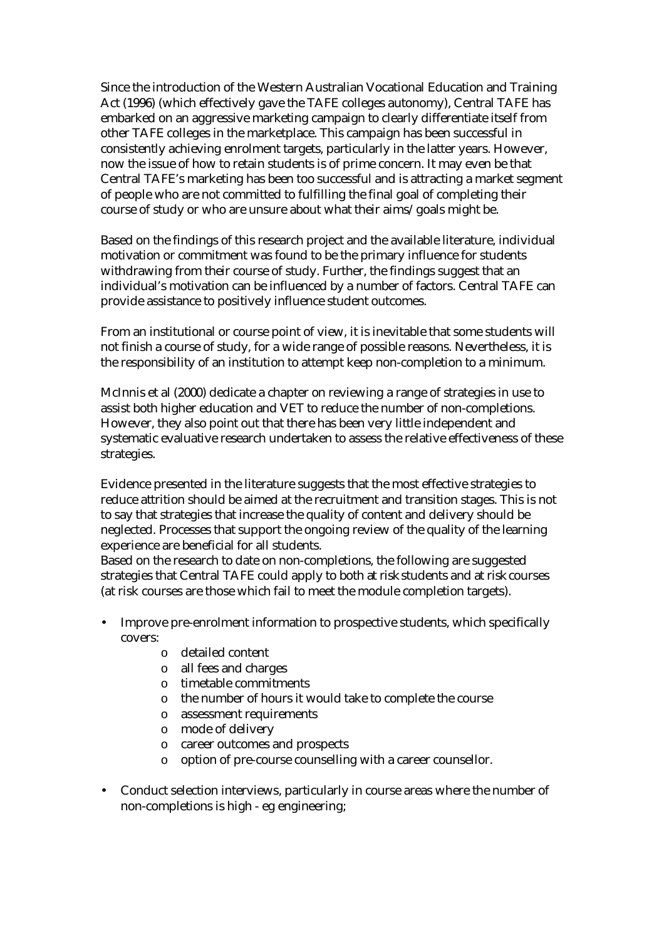Since the introduction of the Western Australian Vocational Education and Training Act (1996) (which effectively gave the TAFE colleges autonomy), Central TAFE has embarked on an aggressive marketing campaign to clearly differentiate itself from other TAFE colleges in the marketplace. This campaign has been successful in consistently achieving enrolment targets, particularly in the latter years. However, now the issue of how to retain students is of prime concern. It may even be that Central TAFE's marketing has been too successful and is attracting a market segment of people who are not committed to fulfilling the final goal of completing their course of study or who are unsure about what their aims/goals might be.

Based on the findings of this research project and the available literature, individual motivation or commitment was found to be the primary influence for students withdrawing from their course of study. Further, the findings suggest that an individual's motivation can be influenced by a number of factors. Central TAFE can provide assistance to positively influence student outcomes.

From an institutional or course point of view, it is inevitable that some students will not finish a course of study, for a wide range of possible reasons. Nevertheless, it is the responsibility of an institution to attempt keep non-completion to a minimum.

McInnis et al (2000) dedicate a chapter on reviewing a range of strategies in use to assist both higher education and VET to reduce the number of non-completions. However, they also point out that there has been very little independent and systematic evaluative research undertaken to assess the relative effectiveness of these strategies.

Evidence presented in the literature suggests that the most effective strategies to reduce attrition should be aimed at the recruitment and transition stages. This is not to say that strategies that increase the quality of content and delivery should be neglected. Processes that support the ongoing review of the quality of the learning experience are beneficial for all students.

Based on the research to date on non-completions, the following are suggested strategies that Central TAFE could apply to both *at risk* students and *at risk* courses (at risk courses are those which fail to meet the module completion targets).

- Improve pre-enrolment information to prospective students, which specifically covers:
	- o detailed content
	- o all fees and charges
	- o timetable commitments
	- o the number of hours it would take to complete the course
	- o assessment requirements
	- o mode of delivery
	- o career outcomes and prospects
	- o option of pre-course counselling with a career counsellor.
- Conduct selection interviews, particularly in course areas where the number of non-completions is high - eg engineering;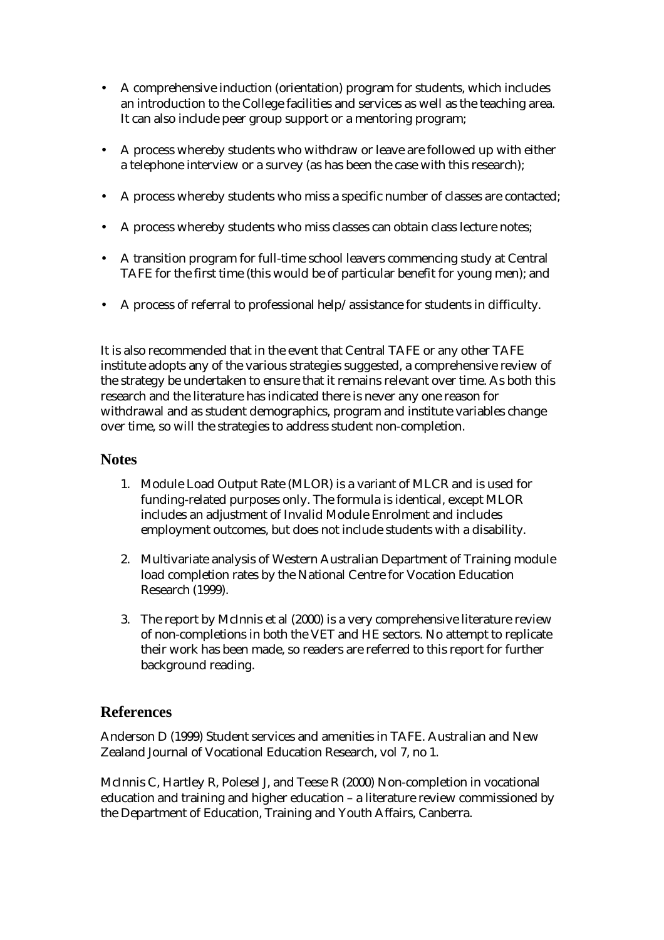- A comprehensive induction (orientation) program for students, which includes an introduction to the College facilities and services as well as the teaching area. It can also include peer group support or a mentoring program;
- A process whereby students who withdraw or leave are followed up with either a telephone interview or a survey (as has been the case with this research);
- A process whereby students who miss a specific number of classes are contacted;
- A process whereby students who miss classes can obtain class lecture notes;
- A transition program for full-time school leavers commencing study at Central TAFE for the first time (this would be of particular benefit for young men); and
- A process of referral to professional help/assistance for students in difficulty.

It is also recommended that in the event that Central TAFE or any other TAFE institute adopts any of the various strategies suggested, a comprehensive review of the strategy be undertaken to ensure that it remains relevant over time. As both this research and the literature has indicated there is never any one reason for withdrawal and as student demographics, program and institute variables change over time, so will the strategies to address student non-completion.

# **Notes**

- 1. Module Load Output Rate (MLOR) is a variant of MLCR and is used for funding-related purposes only. The formula is identical, except MLOR includes an adjustment of Invalid Module Enrolment and includes employment outcomes, but does not include students with a disability.
- 2. Multivariate analysis of Western Australian Department of Training module load completion rates by the National Centre for Vocation Education Research (1999).
- 3. The report by McInnis et al (2000) is a very comprehensive literature review of non-completions in both the VET and HE sectors. No attempt to replicate their work has been made, so readers are referred to this report for further background reading.

# **References**

Anderson D (1999) Student services and amenities in TAFE. Australian and New Zealand Journal of Vocational Education Research, vol 7, no 1.

McInnis C, Hartley R, Polesel J, and Teese R (2000) Non-completion in vocational education and training and higher education – a literature review commissioned by the Department of Education, Training and Youth Affairs, Canberra.